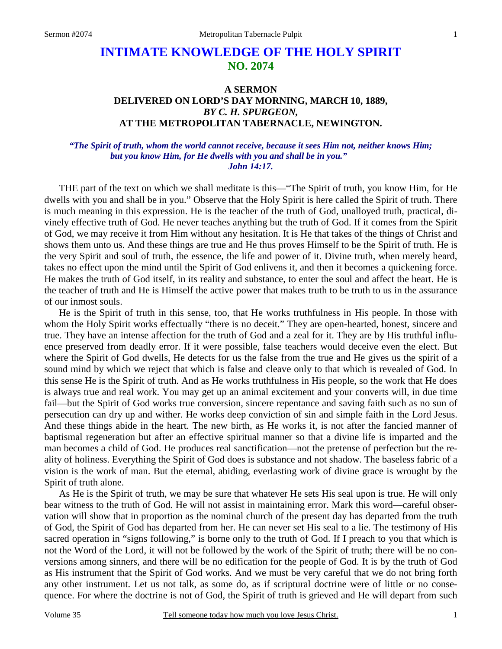# **INTIMATE KNOWLEDGE OF THE HOLY SPIRIT NO. 2074**

## **A SERMON DELIVERED ON LORD'S DAY MORNING, MARCH 10, 1889,**  *BY C. H. SPURGEON,*  **AT THE METROPOLITAN TABERNACLE, NEWINGTON.**

### *"The Spirit of truth, whom the world cannot receive, because it sees Him not, neither knows Him; but you know Him, for He dwells with you and shall be in you." John 14:17.*

THE part of the text on which we shall meditate is this—"The Spirit of truth, you know Him, for He dwells with you and shall be in you." Observe that the Holy Spirit is here called the Spirit of truth. There is much meaning in this expression. He is the teacher of the truth of God, unalloyed truth, practical, divinely effective truth of God. He never teaches anything but the truth of God. If it comes from the Spirit of God, we may receive it from Him without any hesitation. It is He that takes of the things of Christ and shows them unto us. And these things are true and He thus proves Himself to be the Spirit of truth. He is the very Spirit and soul of truth, the essence, the life and power of it. Divine truth, when merely heard, takes no effect upon the mind until the Spirit of God enlivens it, and then it becomes a quickening force. He makes the truth of God itself, in its reality and substance, to enter the soul and affect the heart. He is the teacher of truth and He is Himself the active power that makes truth to be truth to us in the assurance of our inmost souls.

He is the Spirit of truth in this sense, too, that He works truthfulness in His people. In those with whom the Holy Spirit works effectually "there is no deceit." They are open-hearted, honest, sincere and true. They have an intense affection for the truth of God and a zeal for it. They are by His truthful influence preserved from deadly error. If it were possible, false teachers would deceive even the elect. But where the Spirit of God dwells, He detects for us the false from the true and He gives us the spirit of a sound mind by which we reject that which is false and cleave only to that which is revealed of God. In this sense He is the Spirit of truth. And as He works truthfulness in His people, so the work that He does is always true and real work. You may get up an animal excitement and your converts will, in due time fail—but the Spirit of God works true conversion, sincere repentance and saving faith such as no sun of persecution can dry up and wither. He works deep conviction of sin and simple faith in the Lord Jesus. And these things abide in the heart. The new birth, as He works it, is not after the fancied manner of baptismal regeneration but after an effective spiritual manner so that a divine life is imparted and the man becomes a child of God. He produces real sanctification—not the pretense of perfection but the reality of holiness. Everything the Spirit of God does is substance and not shadow. The baseless fabric of a vision is the work of man. But the eternal, abiding, everlasting work of divine grace is wrought by the Spirit of truth alone.

As He is the Spirit of truth, we may be sure that whatever He sets His seal upon is true. He will only bear witness to the truth of God. He will not assist in maintaining error. Mark this word—careful observation will show that in proportion as the nominal church of the present day has departed from the truth of God, the Spirit of God has departed from her. He can never set His seal to a lie. The testimony of His sacred operation in "signs following," is borne only to the truth of God. If I preach to you that which is not the Word of the Lord, it will not be followed by the work of the Spirit of truth; there will be no conversions among sinners, and there will be no edification for the people of God. It is by the truth of God as His instrument that the Spirit of God works. And we must be very careful that we do not bring forth any other instrument. Let us not talk, as some do, as if scriptural doctrine were of little or no consequence. For where the doctrine is not of God, the Spirit of truth is grieved and He will depart from such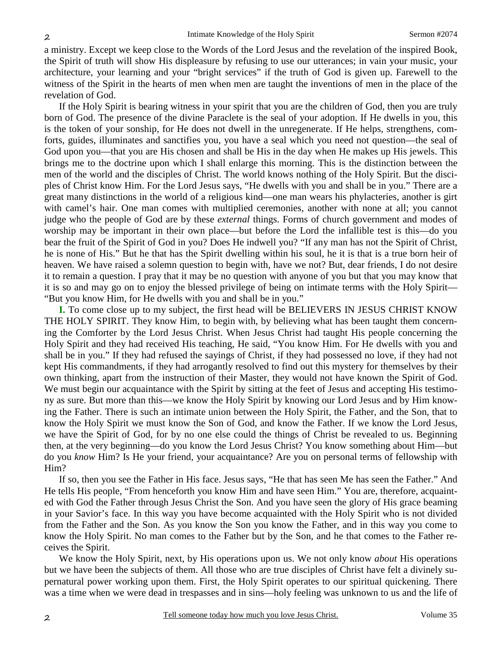a ministry. Except we keep close to the Words of the Lord Jesus and the revelation of the inspired Book, the Spirit of truth will show His displeasure by refusing to use our utterances; in vain your music, your architecture, your learning and your "bright services" if the truth of God is given up. Farewell to the witness of the Spirit in the hearts of men when men are taught the inventions of men in the place of the revelation of God.

If the Holy Spirit is bearing witness in your spirit that you are the children of God, then you are truly born of God. The presence of the divine Paraclete is the seal of your adoption. If He dwells in you, this is the token of your sonship, for He does not dwell in the unregenerate. If He helps, strengthens, comforts, guides, illuminates and sanctifies you, you have a seal which you need not question—the seal of God upon you—that you are His chosen and shall be His in the day when He makes up His jewels. This brings me to the doctrine upon which I shall enlarge this morning. This is the distinction between the men of the world and the disciples of Christ. The world knows nothing of the Holy Spirit. But the disciples of Christ know Him. For the Lord Jesus says, "He dwells with you and shall be in you." There are a great many distinctions in the world of a religious kind—one man wears his phylacteries, another is girt with camel's hair. One man comes with multiplied ceremonies, another with none at all; you cannot judge who the people of God are by these *external* things. Forms of church government and modes of worship may be important in their own place—but before the Lord the infallible test is this—do you bear the fruit of the Spirit of God in you? Does He indwell you? "If any man has not the Spirit of Christ, he is none of His." But he that has the Spirit dwelling within his soul, he it is that is a true born heir of heaven. We have raised a solemn question to begin with, have we not? But, dear friends, I do not desire it to remain a question. I pray that it may be no question with anyone of you but that you may know that it is so and may go on to enjoy the blessed privilege of being on intimate terms with the Holy Spirit— "But you know Him, for He dwells with you and shall be in you."

**I.** To come close up to my subject, the first head will be BELIEVERS IN JESUS CHRIST KNOW THE HOLY SPIRIT. They know Him, to begin with, by believing what has been taught them concerning the Comforter by the Lord Jesus Christ. When Jesus Christ had taught His people concerning the Holy Spirit and they had received His teaching, He said, "You know Him. For He dwells with you and shall be in you." If they had refused the sayings of Christ, if they had possessed no love, if they had not kept His commandments, if they had arrogantly resolved to find out this mystery for themselves by their own thinking, apart from the instruction of their Master, they would not have known the Spirit of God. We must begin our acquaintance with the Spirit by sitting at the feet of Jesus and accepting His testimony as sure. But more than this—we know the Holy Spirit by knowing our Lord Jesus and by Him knowing the Father. There is such an intimate union between the Holy Spirit, the Father, and the Son, that to know the Holy Spirit we must know the Son of God, and know the Father. If we know the Lord Jesus, we have the Spirit of God, for by no one else could the things of Christ be revealed to us. Beginning then, at the very beginning—do you know the Lord Jesus Christ? You know something about Him—but do you *know* Him? Is He your friend, your acquaintance? Are you on personal terms of fellowship with Him?

If so, then you see the Father in His face. Jesus says, "He that has seen Me has seen the Father." And He tells His people, "From henceforth you know Him and have seen Him." You are, therefore, acquainted with God the Father through Jesus Christ the Son. And you have seen the glory of His grace beaming in your Savior's face. In this way you have become acquainted with the Holy Spirit who is not divided from the Father and the Son. As you know the Son you know the Father, and in this way you come to know the Holy Spirit. No man comes to the Father but by the Son, and he that comes to the Father receives the Spirit.

We know the Holy Spirit, next, by His operations upon us. We not only know *about* His operations but we have been the subjects of them. All those who are true disciples of Christ have felt a divinely supernatural power working upon them. First, the Holy Spirit operates to our spiritual quickening. There was a time when we were dead in trespasses and in sins—holy feeling was unknown to us and the life of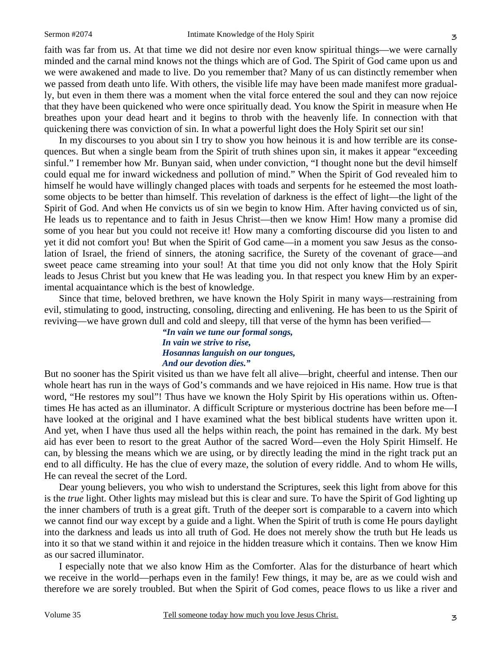faith was far from us. At that time we did not desire nor even know spiritual things—we were carnally minded and the carnal mind knows not the things which are of God. The Spirit of God came upon us and we were awakened and made to live. Do you remember that? Many of us can distinctly remember when we passed from death unto life. With others, the visible life may have been made manifest more gradually, but even in them there was a moment when the vital force entered the soul and they can now rejoice that they have been quickened who were once spiritually dead. You know the Spirit in measure when He breathes upon your dead heart and it begins to throb with the heavenly life. In connection with that quickening there was conviction of sin. In what a powerful light does the Holy Spirit set our sin!

In my discourses to you about sin I try to show you how heinous it is and how terrible are its consequences. But when a single beam from the Spirit of truth shines upon sin, it makes it appear "exceeding sinful." I remember how Mr. Bunyan said, when under conviction, "I thought none but the devil himself could equal me for inward wickedness and pollution of mind." When the Spirit of God revealed him to himself he would have willingly changed places with toads and serpents for he esteemed the most loathsome objects to be better than himself. This revelation of darkness is the effect of light—the light of the Spirit of God. And when He convicts us of sin we begin to know Him. After having convicted us of sin, He leads us to repentance and to faith in Jesus Christ—then we know Him! How many a promise did some of you hear but you could not receive it! How many a comforting discourse did you listen to and yet it did not comfort you! But when the Spirit of God came—in a moment you saw Jesus as the consolation of Israel, the friend of sinners, the atoning sacrifice, the Surety of the covenant of grace—and sweet peace came streaming into your soul! At that time you did not only know that the Holy Spirit leads to Jesus Christ but you knew that He was leading you. In that respect you knew Him by an experimental acquaintance which is the best of knowledge.

Since that time, beloved brethren, we have known the Holy Spirit in many ways—restraining from evil, stimulating to good, instructing, consoling, directing and enlivening. He has been to us the Spirit of reviving—we have grown dull and cold and sleepy, till that verse of the hymn has been verified—

> *"In vain we tune our formal songs, In vain we strive to rise, Hosannas languish on our tongues, And our devotion dies."*

But no sooner has the Spirit visited us than we have felt all alive—bright, cheerful and intense. Then our whole heart has run in the ways of God's commands and we have rejoiced in His name. How true is that word, "He restores my soul"! Thus have we known the Holy Spirit by His operations within us. Oftentimes He has acted as an illuminator. A difficult Scripture or mysterious doctrine has been before me—I have looked at the original and I have examined what the best biblical students have written upon it. And yet, when I have thus used all the helps within reach, the point has remained in the dark. My best aid has ever been to resort to the great Author of the sacred Word—even the Holy Spirit Himself. He can, by blessing the means which we are using, or by directly leading the mind in the right track put an end to all difficulty. He has the clue of every maze, the solution of every riddle. And to whom He wills, He can reveal the secret of the Lord.

Dear young believers, you who wish to understand the Scriptures, seek this light from above for this is the *true* light. Other lights may mislead but this is clear and sure. To have the Spirit of God lighting up the inner chambers of truth is a great gift. Truth of the deeper sort is comparable to a cavern into which we cannot find our way except by a guide and a light. When the Spirit of truth is come He pours daylight into the darkness and leads us into all truth of God. He does not merely show the truth but He leads us into it so that we stand within it and rejoice in the hidden treasure which it contains. Then we know Him as our sacred illuminator.

I especially note that we also know Him as the Comforter. Alas for the disturbance of heart which we receive in the world—perhaps even in the family! Few things, it may be, are as we could wish and therefore we are sorely troubled. But when the Spirit of God comes, peace flows to us like a river and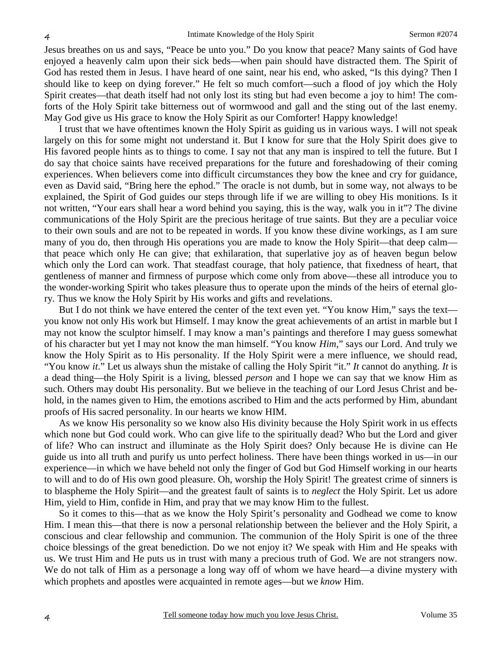Jesus breathes on us and says, "Peace be unto you." Do you know that peace? Many saints of God have enjoyed a heavenly calm upon their sick beds—when pain should have distracted them. The Spirit of God has rested them in Jesus. I have heard of one saint, near his end, who asked, "Is this dying? Then I should like to keep on dying forever." He felt so much comfort—such a flood of joy which the Holy Spirit creates—that death itself had not only lost its sting but had even become a joy to him! The comforts of the Holy Spirit take bitterness out of wormwood and gall and the sting out of the last enemy. May God give us His grace to know the Holy Spirit as our Comforter! Happy knowledge!

I trust that we have oftentimes known the Holy Spirit as guiding us in various ways. I will not speak largely on this for some might not understand it. But I know for sure that the Holy Spirit does give to His favored people hints as to things to come. I say not that any man is inspired to tell the future. But I do say that choice saints have received preparations for the future and foreshadowing of their coming experiences. When believers come into difficult circumstances they bow the knee and cry for guidance, even as David said, "Bring here the ephod." The oracle is not dumb, but in some way, not always to be explained, the Spirit of God guides our steps through life if we are willing to obey His monitions. Is it not written, "Your ears shall hear a word behind you saying, this is the way, walk you in it"? The divine communications of the Holy Spirit are the precious heritage of true saints. But they are a peculiar voice to their own souls and are not to be repeated in words. If you know these divine workings, as I am sure many of you do, then through His operations you are made to know the Holy Spirit—that deep calm that peace which only He can give; that exhilaration, that superlative joy as of heaven begun below which only the Lord can work. That steadfast courage, that holy patience, that fixedness of heart, that gentleness of manner and firmness of purpose which come only from above—these all introduce you to the wonder-working Spirit who takes pleasure thus to operate upon the minds of the heirs of eternal glory. Thus we know the Holy Spirit by His works and gifts and revelations.

But I do not think we have entered the center of the text even yet. "You know Him," says the text you know not only His work but Himself. I may know the great achievements of an artist in marble but I may not know the sculptor himself. I may know a man's paintings and therefore I may guess somewhat of his character but yet I may not know the man himself. "You know *Him*," says our Lord. And truly we know the Holy Spirit as to His personality. If the Holy Spirit were a mere influence, we should read, "You know *it*." Let us always shun the mistake of calling the Holy Spirit "it." *It* cannot do anything. *It* is a dead thing—the Holy Spirit is a living, blessed *person* and I hope we can say that we know Him as such. Others may doubt His personality. But we believe in the teaching of our Lord Jesus Christ and behold, in the names given to Him, the emotions ascribed to Him and the acts performed by Him, abundant proofs of His sacred personality. In our hearts we know HIM.

As we know His personality so we know also His divinity because the Holy Spirit work in us effects which none but God could work. Who can give life to the spiritually dead? Who but the Lord and giver of life? Who can instruct and illuminate as the Holy Spirit does? Only because He is divine can He guide us into all truth and purify us unto perfect holiness. There have been things worked in us—in our experience—in which we have beheld not only the finger of God but God Himself working in our hearts to will and to do of His own good pleasure. Oh, worship the Holy Spirit! The greatest crime of sinners is to blaspheme the Holy Spirit—and the greatest fault of saints is to *neglect* the Holy Spirit. Let us adore Him, yield to Him, confide in Him, and pray that we may know Him to the fullest.

So it comes to this—that as we know the Holy Spirit's personality and Godhead we come to know Him. I mean this—that there is now a personal relationship between the believer and the Holy Spirit, a conscious and clear fellowship and communion. The communion of the Holy Spirit is one of the three choice blessings of the great benediction. Do we not enjoy it? We speak with Him and He speaks with us. We trust Him and He puts us in trust with many a precious truth of God. We are not strangers now. We do not talk of Him as a personage a long way off of whom we have heard—a divine mystery with which prophets and apostles were acquainted in remote ages—but we *know* Him.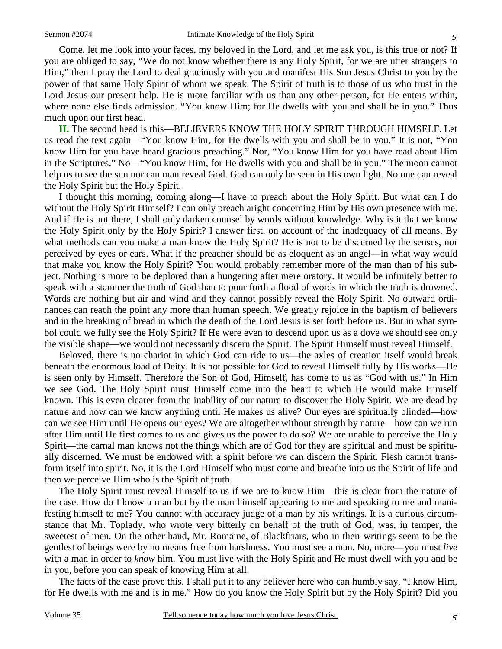Come, let me look into your faces, my beloved in the Lord, and let me ask you, is this true or not? If you are obliged to say, "We do not know whether there is any Holy Spirit, for we are utter strangers to Him," then I pray the Lord to deal graciously with you and manifest His Son Jesus Christ to you by the power of that same Holy Spirit of whom we speak. The Spirit of truth is to those of us who trust in the Lord Jesus our present help. He is more familiar with us than any other person, for He enters within, where none else finds admission. "You know Him; for He dwells with you and shall be in you." Thus much upon our first head.

**II.** The second head is this—BELIEVERS KNOW THE HOLY SPIRIT THROUGH HIMSELF. Let us read the text again—"You know Him, for He dwells with you and shall be in you." It is not, "You know Him for you have heard gracious preaching." Nor, "You know Him for you have read about Him in the Scriptures." No—"You know Him, for He dwells with you and shall be in you." The moon cannot help us to see the sun nor can man reveal God. God can only be seen in His own light. No one can reveal the Holy Spirit but the Holy Spirit.

I thought this morning, coming along—I have to preach about the Holy Spirit. But what can I do without the Holy Spirit Himself? I can only preach aright concerning Him by His own presence with me. And if He is not there, I shall only darken counsel by words without knowledge. Why is it that we know the Holy Spirit only by the Holy Spirit? I answer first, on account of the inadequacy of all means. By what methods can you make a man know the Holy Spirit? He is not to be discerned by the senses, nor perceived by eyes or ears. What if the preacher should be as eloquent as an angel—in what way would that make you know the Holy Spirit? You would probably remember more of the man than of his subject. Nothing is more to be deplored than a hungering after mere oratory. It would be infinitely better to speak with a stammer the truth of God than to pour forth a flood of words in which the truth is drowned. Words are nothing but air and wind and they cannot possibly reveal the Holy Spirit. No outward ordinances can reach the point any more than human speech. We greatly rejoice in the baptism of believers and in the breaking of bread in which the death of the Lord Jesus is set forth before us. But in what symbol could we fully see the Holy Spirit? If He were even to descend upon us as a dove we should see only the visible shape—we would not necessarily discern the Spirit. The Spirit Himself must reveal Himself.

Beloved, there is no chariot in which God can ride to us—the axles of creation itself would break beneath the enormous load of Deity. It is not possible for God to reveal Himself fully by His works—He is seen only by Himself. Therefore the Son of God, Himself, has come to us as "God with us." In Him we see God. The Holy Spirit must Himself come into the heart to which He would make Himself known. This is even clearer from the inability of our nature to discover the Holy Spirit. We are dead by nature and how can we know anything until He makes us alive? Our eyes are spiritually blinded—how can we see Him until He opens our eyes? We are altogether without strength by nature—how can we run after Him until He first comes to us and gives us the power to do so? We are unable to perceive the Holy Spirit—the carnal man knows not the things which are of God for they are spiritual and must be spiritually discerned. We must be endowed with a spirit before we can discern the Spirit. Flesh cannot transform itself into spirit. No, it is the Lord Himself who must come and breathe into us the Spirit of life and then we perceive Him who is the Spirit of truth.

The Holy Spirit must reveal Himself to us if we are to know Him—this is clear from the nature of the case. How do I know a man but by the man himself appearing to me and speaking to me and manifesting himself to me? You cannot with accuracy judge of a man by his writings. It is a curious circumstance that Mr. Toplady, who wrote very bitterly on behalf of the truth of God, was, in temper, the sweetest of men. On the other hand, Mr. Romaine, of Blackfriars, who in their writings seem to be the gentlest of beings were by no means free from harshness. You must see a man. No, more—you must *live* with a man in order to *know* him. You must live with the Holy Spirit and He must dwell with you and be in you, before you can speak of knowing Him at all.

The facts of the case prove this. I shall put it to any believer here who can humbly say, "I know Him, for He dwells with me and is in me." How do you know the Holy Spirit but by the Holy Spirit? Did you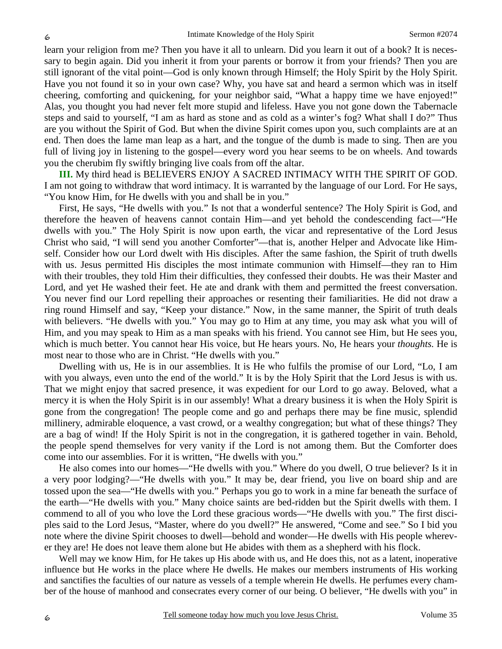learn your religion from me? Then you have it all to unlearn. Did you learn it out of a book? It is necessary to begin again. Did you inherit it from your parents or borrow it from your friends? Then you are still ignorant of the vital point—God is only known through Himself; the Holy Spirit by the Holy Spirit. Have you not found it so in your own case? Why, you have sat and heard a sermon which was in itself cheering, comforting and quickening, for your neighbor said, "What a happy time we have enjoyed!" Alas, you thought you had never felt more stupid and lifeless. Have you not gone down the Tabernacle steps and said to yourself, "I am as hard as stone and as cold as a winter's fog? What shall I do?" Thus are you without the Spirit of God. But when the divine Spirit comes upon you, such complaints are at an end. Then does the lame man leap as a hart, and the tongue of the dumb is made to sing. Then are you full of living joy in listening to the gospel—every word you hear seems to be on wheels. And towards you the cherubim fly swiftly bringing live coals from off the altar.

**III.** My third head is BELIEVERS ENJOY A SACRED INTIMACY WITH THE SPIRIT OF GOD. I am not going to withdraw that word intimacy. It is warranted by the language of our Lord. For He says, "You know Him, for He dwells with you and shall be in you."

First, He says, "He dwells with you." Is not that a wonderful sentence? The Holy Spirit is God, and therefore the heaven of heavens cannot contain Him—and yet behold the condescending fact—"He dwells with you." The Holy Spirit is now upon earth, the vicar and representative of the Lord Jesus Christ who said, "I will send you another Comforter"—that is, another Helper and Advocate like Himself. Consider how our Lord dwelt with His disciples. After the same fashion, the Spirit of truth dwells with us. Jesus permitted His disciples the most intimate communion with Himself—they ran to Him with their troubles, they told Him their difficulties, they confessed their doubts. He was their Master and Lord, and yet He washed their feet. He ate and drank with them and permitted the freest conversation. You never find our Lord repelling their approaches or resenting their familiarities. He did not draw a ring round Himself and say, "Keep your distance." Now, in the same manner, the Spirit of truth deals with believers. "He dwells with you." You may go to Him at any time, you may ask what you will of Him, and you may speak to Him as a man speaks with his friend. You cannot see Him, but He sees you, which is much better. You cannot hear His voice, but He hears yours. No, He hears your *thoughts.* He is most near to those who are in Christ. "He dwells with you."

Dwelling with us, He is in our assemblies. It is He who fulfils the promise of our Lord, "Lo, I am with you always, even unto the end of the world." It is by the Holy Spirit that the Lord Jesus is with us. That we might enjoy that sacred presence, it was expedient for our Lord to go away. Beloved, what a mercy it is when the Holy Spirit is in our assembly! What a dreary business it is when the Holy Spirit is gone from the congregation! The people come and go and perhaps there may be fine music, splendid millinery, admirable eloquence, a vast crowd, or a wealthy congregation; but what of these things? They are a bag of wind! If the Holy Spirit is not in the congregation, it is gathered together in vain. Behold, the people spend themselves for very vanity if the Lord is not among them. But the Comforter does come into our assemblies. For it is written, "He dwells with you."

He also comes into our homes—"He dwells with you." Where do you dwell, O true believer? Is it in a very poor lodging?—"He dwells with you." It may be, dear friend, you live on board ship and are tossed upon the sea—"He dwells with you." Perhaps you go to work in a mine far beneath the surface of the earth—"He dwells with you." Many choice saints are bed-ridden but the Spirit dwells with them. I commend to all of you who love the Lord these gracious words—"He dwells with you." The first disciples said to the Lord Jesus, "Master, where do you dwell?" He answered, "Come and see." So I bid you note where the divine Spirit chooses to dwell—behold and wonder—He dwells with His people wherever they are! He does not leave them alone but He abides with them as a shepherd with his flock.

Well may we know Him, for He takes up His abode with us, and He does this, not as a latent, inoperative influence but He works in the place where He dwells. He makes our members instruments of His working and sanctifies the faculties of our nature as vessels of a temple wherein He dwells. He perfumes every chamber of the house of manhood and consecrates every corner of our being. O believer, "He dwells with you" in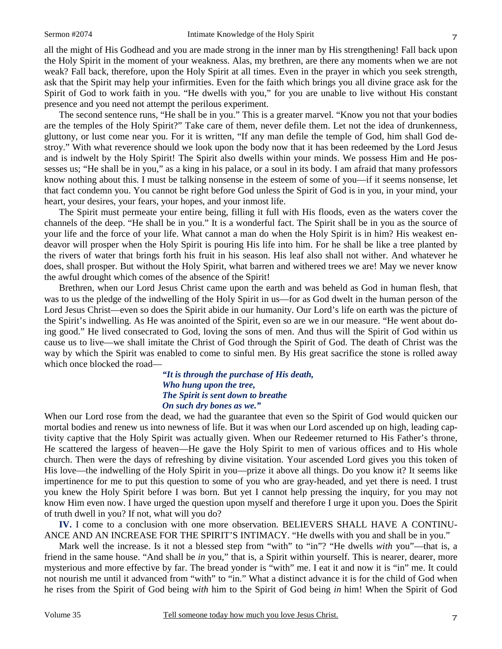all the might of His Godhead and you are made strong in the inner man by His strengthening! Fall back upon the Holy Spirit in the moment of your weakness. Alas, my brethren, are there any moments when we are not weak? Fall back, therefore, upon the Holy Spirit at all times. Even in the prayer in which you seek strength, ask that the Spirit may help your infirmities. Even for the faith which brings you all divine grace ask for the Spirit of God to work faith in you. "He dwells with you," for you are unable to live without His constant presence and you need not attempt the perilous experiment.

The second sentence runs, "He shall be in you." This is a greater marvel. "Know you not that your bodies are the temples of the Holy Spirit?" Take care of them, never defile them. Let not the idea of drunkenness, gluttony, or lust come near you. For it is written, "If any man defile the temple of God, him shall God destroy." With what reverence should we look upon the body now that it has been redeemed by the Lord Jesus and is indwelt by the Holy Spirit! The Spirit also dwells within your minds. We possess Him and He possesses us; "He shall be in you," as a king in his palace, or a soul in its body. I am afraid that many professors know nothing about this. I must be talking nonsense in the esteem of some of you—if it seems nonsense, let that fact condemn you. You cannot be right before God unless the Spirit of God is in you, in your mind, your heart, your desires, your fears, your hopes, and your inmost life.

The Spirit must permeate your entire being, filling it full with His floods, even as the waters cover the channels of the deep. "He shall be in you." It is a wonderful fact. The Spirit shall be in you as the source of your life and the force of your life. What cannot a man do when the Holy Spirit is in him? His weakest endeavor will prosper when the Holy Spirit is pouring His life into him. For he shall be like a tree planted by the rivers of water that brings forth his fruit in his season. His leaf also shall not wither. And whatever he does, shall prosper. But without the Holy Spirit, what barren and withered trees we are! May we never know the awful drought which comes of the absence of the Spirit!

Brethren, when our Lord Jesus Christ came upon the earth and was beheld as God in human flesh, that was to us the pledge of the indwelling of the Holy Spirit in us—for as God dwelt in the human person of the Lord Jesus Christ—even so does the Spirit abide in our humanity. Our Lord's life on earth was the picture of the Spirit's indwelling. As He was anointed of the Spirit, even so are we in our measure. "He went about doing good." He lived consecrated to God, loving the sons of men. And thus will the Spirit of God within us cause us to live—we shall imitate the Christ of God through the Spirit of God. The death of Christ was the way by which the Spirit was enabled to come to sinful men. By His great sacrifice the stone is rolled away which once blocked the road—

### *"It is through the purchase of His death, Who hung upon the tree, The Spirit is sent down to breathe On such dry bones as we."*

When our Lord rose from the dead, we had the guarantee that even so the Spirit of God would quicken our mortal bodies and renew us into newness of life. But it was when our Lord ascended up on high, leading captivity captive that the Holy Spirit was actually given. When our Redeemer returned to His Father's throne, He scattered the largess of heaven—He gave the Holy Spirit to men of various offices and to His whole church. Then were the days of refreshing by divine visitation. Your ascended Lord gives you this token of His love—the indwelling of the Holy Spirit in you—prize it above all things. Do you know it? It seems like impertinence for me to put this question to some of you who are gray-headed, and yet there is need. I trust you knew the Holy Spirit before I was born. But yet I cannot help pressing the inquiry, for you may not know Him even now. I have urged the question upon myself and therefore I urge it upon you. Does the Spirit of truth dwell in you? If not, what will you do?

**IV.** I come to a conclusion with one more observation. BELIEVERS SHALL HAVE A CONTINU-ANCE AND AN INCREASE FOR THE SPIRIT'S INTIMACY. "He dwells with you and shall be in you."

Mark well the increase. Is it not a blessed step from "with" to "in"? "He dwells *with* you"—that is, a friend in the same house. "And shall be *in* you," that is, a Spirit within yourself. This is nearer, dearer, more mysterious and more effective by far. The bread yonder is "with" me. I eat it and now it is "in" me. It could not nourish me until it advanced from "with" to "in." What a distinct advance it is for the child of God when he rises from the Spirit of God being *with* him to the Spirit of God being *in* him! When the Spirit of God